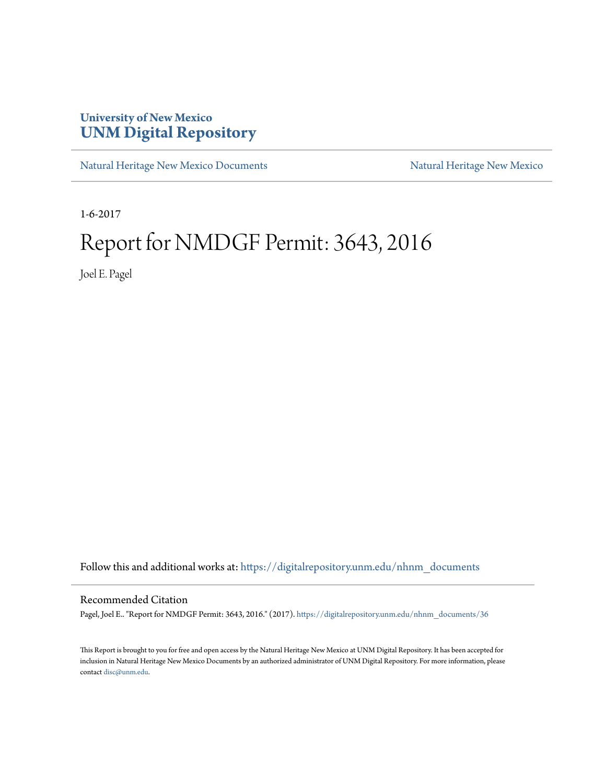## **University of New Mexico [UNM Digital Repository](https://digitalrepository.unm.edu?utm_source=digitalrepository.unm.edu%2Fnhnm_documents%2F36&utm_medium=PDF&utm_campaign=PDFCoverPages)**

[Natural Heritage New Mexico Documents](https://digitalrepository.unm.edu/nhnm_documents?utm_source=digitalrepository.unm.edu%2Fnhnm_documents%2F36&utm_medium=PDF&utm_campaign=PDFCoverPages) [Natural Heritage New Mexico](https://digitalrepository.unm.edu/nhnm?utm_source=digitalrepository.unm.edu%2Fnhnm_documents%2F36&utm_medium=PDF&utm_campaign=PDFCoverPages)

1-6-2017

## Report for NMDGF Permit: 3643, 2016

Joel E. Pagel

Follow this and additional works at: [https://digitalrepository.unm.edu/nhnm\\_documents](https://digitalrepository.unm.edu/nhnm_documents?utm_source=digitalrepository.unm.edu%2Fnhnm_documents%2F36&utm_medium=PDF&utm_campaign=PDFCoverPages)

## Recommended Citation

Pagel, Joel E.. "Report for NMDGF Permit: 3643, 2016." (2017). [https://digitalrepository.unm.edu/nhnm\\_documents/36](https://digitalrepository.unm.edu/nhnm_documents/36?utm_source=digitalrepository.unm.edu%2Fnhnm_documents%2F36&utm_medium=PDF&utm_campaign=PDFCoverPages)

This Report is brought to you for free and open access by the Natural Heritage New Mexico at UNM Digital Repository. It has been accepted for inclusion in Natural Heritage New Mexico Documents by an authorized administrator of UNM Digital Repository. For more information, please contact [disc@unm.edu.](mailto:disc@unm.edu)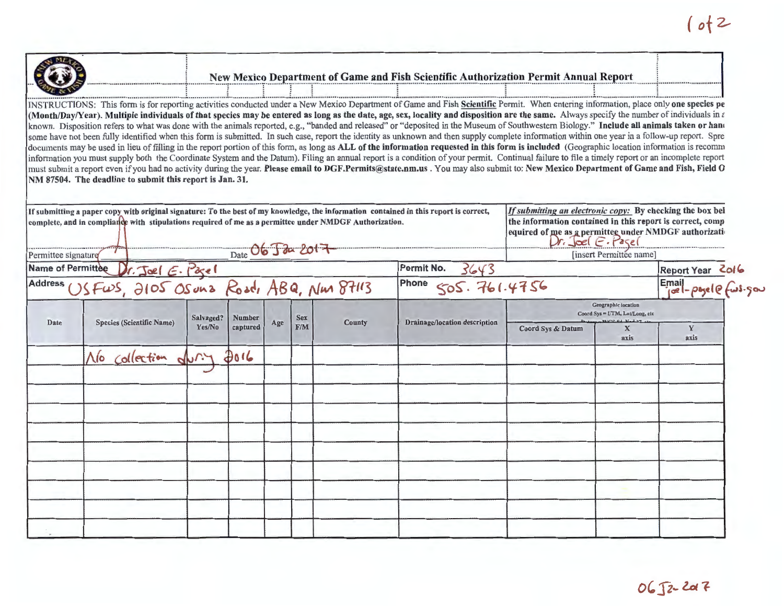| O                                                                                                                                                                                                     |  | New Mexico Department of Game and Fish Scientific Authorization Permit Annual Report |  |
|-------------------------------------------------------------------------------------------------------------------------------------------------------------------------------------------------------|--|--------------------------------------------------------------------------------------|--|
|                                                                                                                                                                                                       |  |                                                                                      |  |
| INSTRUCTIONS: This form is for reporting activities conducted under a New Mexico Department of Game and Fish Scientific Permit. When entering information, place only one species pe                  |  |                                                                                      |  |
| (Month/Day/Year). Multiple individuals of that species may be entered as long as the date, age, sex, locality and disposition are the same. Always specify the number of individuals in $\varepsilon$ |  |                                                                                      |  |
| known. Disposition refers to what was done with the animals reported, e.g., "banded and released" or "deposited in the Museum of Southwestern Biology." Include all animals taken or hand             |  |                                                                                      |  |
| example use not been fully identified when this form is submitted. In such case, report the identity as unknown and then supply complete information within one year in a follow-up report. Spre      |  |                                                                                      |  |

some have not been fully identified when this form is submitted. In such case, report the identity as unknown and then supply complete information within one year in a follow-up report. Spre documents may be used in lieu of filling in the report portion of this form, as long as ALL of the information requested in this form is included (Geographic location information is recomm information you must supply both the Coordinate System and the Datum). Filing an annual report is a condition of your permit. Continual failure to file a timely report or an incomplete report must submit a report even if you had no activity during the year. Please email to DGF.Permits@state.nm.us. You may also submit to: New Mexico Department of Game and Fish, Field O NM 87504. The deadline to submit this report is Jan. 31.

|      | If submitting a paper copy witb original signature: To the best of my knowledge, the information contained in this report is correct,<br>complete, and in compliance with stipulations required of me as a permittee under NMDGF Authorization. |           |               |     |            |               | If submitting an electronic copy: By checking the box bel<br>the information contained in this report is correct, comp<br>equired of me as a permittee under NMDGF authorization |                                                              |                      |                                                                |  |  |
|------|-------------------------------------------------------------------------------------------------------------------------------------------------------------------------------------------------------------------------------------------------|-----------|---------------|-----|------------|---------------|----------------------------------------------------------------------------------------------------------------------------------------------------------------------------------|--------------------------------------------------------------|----------------------|----------------------------------------------------------------|--|--|
|      | Date $06$ $\sqrt{3}$ $201$ $+$<br>Permittee signature                                                                                                                                                                                           |           |               |     |            |               |                                                                                                                                                                                  | [insert Permittee name]                                      |                      |                                                                |  |  |
|      | Name of Permittee Dr. Joel E. Page 1<br>Address USFWS, 2105 OS un a Road, ABQ, Nun 87113                                                                                                                                                        |           |               |     |            |               |                                                                                                                                                                                  |                                                              |                      |                                                                |  |  |
|      |                                                                                                                                                                                                                                                 |           |               |     |            |               | Permit No. $3643$<br>Phone $505.761.4756$                                                                                                                                        |                                                              |                      | Report Year 2016<br>Email<br>$\int_{0}^{\infty}e^{-\beta s}ds$ |  |  |
|      |                                                                                                                                                                                                                                                 | Salvaged? | <b>Number</b> |     | <b>Sex</b> |               |                                                                                                                                                                                  | <b>Geographic location</b><br>Coord Sys = UTM, Lat/Long, etc |                      |                                                                |  |  |
| Date | <b>Species (Scientific Name)</b>                                                                                                                                                                                                                | Yes/No    | captured      | Age | F/M        | <b>County</b> | Drainage/location description                                                                                                                                                    | Coord Sys & Datum                                            | $\mathbf{x}$<br>axis | Y<br>axis                                                      |  |  |
|      | No collection                                                                                                                                                                                                                                   | dur.4     | 3016          |     |            |               |                                                                                                                                                                                  |                                                              |                      |                                                                |  |  |
|      |                                                                                                                                                                                                                                                 |           |               |     |            |               |                                                                                                                                                                                  |                                                              |                      |                                                                |  |  |
|      |                                                                                                                                                                                                                                                 |           |               |     |            |               |                                                                                                                                                                                  |                                                              |                      |                                                                |  |  |
|      |                                                                                                                                                                                                                                                 |           |               |     |            |               |                                                                                                                                                                                  |                                                              |                      |                                                                |  |  |
|      |                                                                                                                                                                                                                                                 |           |               |     |            |               |                                                                                                                                                                                  |                                                              |                      |                                                                |  |  |
|      |                                                                                                                                                                                                                                                 |           |               |     |            |               |                                                                                                                                                                                  |                                                              |                      |                                                                |  |  |
|      |                                                                                                                                                                                                                                                 |           |               |     |            |               |                                                                                                                                                                                  |                                                              |                      |                                                                |  |  |
|      |                                                                                                                                                                                                                                                 |           |               |     |            |               |                                                                                                                                                                                  |                                                              |                      |                                                                |  |  |
|      |                                                                                                                                                                                                                                                 |           |               |     |            |               |                                                                                                                                                                                  |                                                              |                      |                                                                |  |  |
|      |                                                                                                                                                                                                                                                 |           |               |     |            |               |                                                                                                                                                                                  |                                                              |                      |                                                                |  |  |